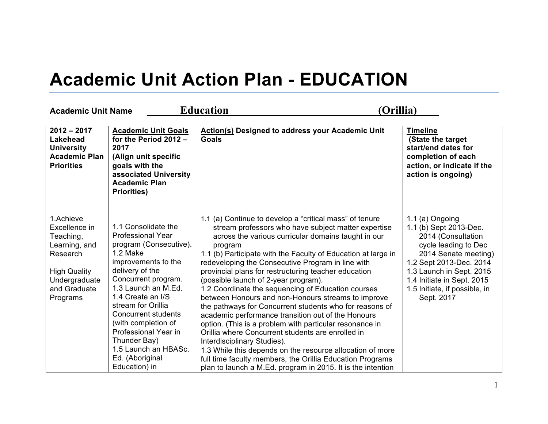## **Academic Unit Action Plan - EDUCATION**

| <b>Academic Unit Name</b>                                                                                                                |                                                                                                                                                                                                                                                                                                                                                                                   | <b>Education</b>                                                                                                                                                                                                                                                                                                                                                                                                                                                                                                                                                                                                                                                                                                                                                                                                                                                                                                                                                            | (Orillia)                                                                                                                                                                                                                                           |
|------------------------------------------------------------------------------------------------------------------------------------------|-----------------------------------------------------------------------------------------------------------------------------------------------------------------------------------------------------------------------------------------------------------------------------------------------------------------------------------------------------------------------------------|-----------------------------------------------------------------------------------------------------------------------------------------------------------------------------------------------------------------------------------------------------------------------------------------------------------------------------------------------------------------------------------------------------------------------------------------------------------------------------------------------------------------------------------------------------------------------------------------------------------------------------------------------------------------------------------------------------------------------------------------------------------------------------------------------------------------------------------------------------------------------------------------------------------------------------------------------------------------------------|-----------------------------------------------------------------------------------------------------------------------------------------------------------------------------------------------------------------------------------------------------|
| $2012 - 2017$<br><b>Lakehead</b><br><b>University</b><br><b>Academic Plan</b><br><b>Priorities</b>                                       | <b>Academic Unit Goals</b><br>for the Period 2012 -<br>2017<br>(Align unit specific<br>goals with the<br>associated University<br><b>Academic Plan</b><br><b>Priorities)</b>                                                                                                                                                                                                      | <b>Action(s) Designed to address your Academic Unit</b><br><b>Goals</b>                                                                                                                                                                                                                                                                                                                                                                                                                                                                                                                                                                                                                                                                                                                                                                                                                                                                                                     | <b>Timeline</b><br>(State the target<br>start/end dates for<br>completion of each<br>action, or indicate if the<br>action is ongoing)                                                                                                               |
| 1.Achieve<br>Excellence in<br>Teaching,<br>Learning, and<br>Research<br><b>High Quality</b><br>Undergraduate<br>and Graduate<br>Programs | 1.1 Consolidate the<br><b>Professional Year</b><br>program (Consecutive).<br>1.2 Make<br>improvements to the<br>delivery of the<br>Concurrent program.<br>1.3 Launch an M.Ed.<br>1.4 Create an I/S<br>stream for Orillia<br><b>Concurrent students</b><br>(with completion of<br>Professional Year in<br>Thunder Bay)<br>1.5 Launch an HBASc.<br>Ed. (Aboriginal<br>Education) in | 1.1 (a) Continue to develop a "critical mass" of tenure<br>stream professors who have subject matter expertise<br>across the various curricular domains taught in our<br>program<br>1.1 (b) Participate with the Faculty of Education at large in<br>redeveloping the Consecutive Program in line with<br>provincial plans for restructuring teacher education<br>(possible launch of 2-year program).<br>1.2 Coordinate the sequencing of Education courses<br>between Honours and non-Honours streams to improve<br>the pathways for Concurrent students who for reasons of<br>academic performance transition out of the Honours<br>option. (This is a problem with particular resonance in<br>Orillia where Concurrent students are enrolled in<br>Interdisciplinary Studies).<br>1.3 While this depends on the resource allocation of more<br>full time faculty members, the Orillia Education Programs<br>plan to launch a M.Ed. program in 2015. It is the intention | 1.1 (a) Ongoing<br>1.1 (b) Sept 2013-Dec.<br>2014 (Consultation<br>cycle leading to Dec<br>2014 Senate meeting)<br>1.2 Sept 2013-Dec. 2014<br>1.3 Launch in Sept. 2015<br>1.4 Initiate in Sept. 2015<br>1.5 Initiate, if possible, in<br>Sept. 2017 |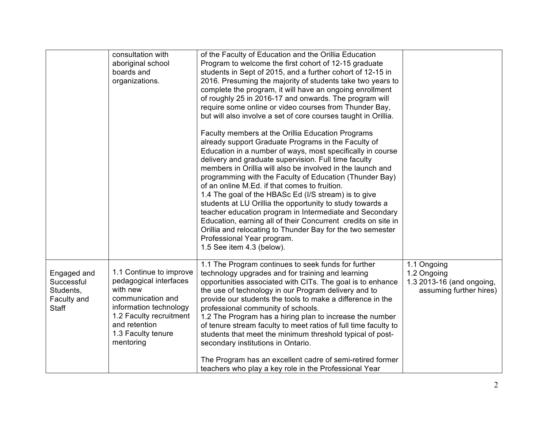|                                                                       | consultation with<br>aboriginal school                                                                                                                                                      | of the Faculty of Education and the Orillia Education<br>Program to welcome the first cohort of 12-15 graduate                                                                                                                                                                                                                                                                                                                                                                                                                                                                                                                                                                                                                                        |                                                                                    |
|-----------------------------------------------------------------------|---------------------------------------------------------------------------------------------------------------------------------------------------------------------------------------------|-------------------------------------------------------------------------------------------------------------------------------------------------------------------------------------------------------------------------------------------------------------------------------------------------------------------------------------------------------------------------------------------------------------------------------------------------------------------------------------------------------------------------------------------------------------------------------------------------------------------------------------------------------------------------------------------------------------------------------------------------------|------------------------------------------------------------------------------------|
|                                                                       | boards and                                                                                                                                                                                  | students in Sept of 2015, and a further cohort of 12-15 in                                                                                                                                                                                                                                                                                                                                                                                                                                                                                                                                                                                                                                                                                            |                                                                                    |
|                                                                       | organizations.                                                                                                                                                                              | 2016. Presuming the majority of students take two years to                                                                                                                                                                                                                                                                                                                                                                                                                                                                                                                                                                                                                                                                                            |                                                                                    |
|                                                                       |                                                                                                                                                                                             | complete the program, it will have an ongoing enrollment                                                                                                                                                                                                                                                                                                                                                                                                                                                                                                                                                                                                                                                                                              |                                                                                    |
|                                                                       |                                                                                                                                                                                             | of roughly 25 in 2016-17 and onwards. The program will                                                                                                                                                                                                                                                                                                                                                                                                                                                                                                                                                                                                                                                                                                |                                                                                    |
|                                                                       |                                                                                                                                                                                             | require some online or video courses from Thunder Bay,                                                                                                                                                                                                                                                                                                                                                                                                                                                                                                                                                                                                                                                                                                |                                                                                    |
|                                                                       |                                                                                                                                                                                             | but will also involve a set of core courses taught in Orillia.                                                                                                                                                                                                                                                                                                                                                                                                                                                                                                                                                                                                                                                                                        |                                                                                    |
|                                                                       |                                                                                                                                                                                             | Faculty members at the Orillia Education Programs<br>already support Graduate Programs in the Faculty of<br>Education in a number of ways, most specifically in course<br>delivery and graduate supervision. Full time faculty<br>members in Orillia will also be involved in the launch and<br>programming with the Faculty of Education (Thunder Bay)<br>of an online M.Ed. if that comes to fruition.<br>1.4 The goal of the HBASc Ed (I/S stream) is to give<br>students at LU Orillia the opportunity to study towards a<br>teacher education program in Intermediate and Secondary<br>Education, earning all of their Concurrent credits on site in<br>Orillia and relocating to Thunder Bay for the two semester<br>Professional Year program. |                                                                                    |
|                                                                       |                                                                                                                                                                                             | 1.5 See item 4.3 (below).                                                                                                                                                                                                                                                                                                                                                                                                                                                                                                                                                                                                                                                                                                                             |                                                                                    |
| Engaged and<br>Successful<br>Students,<br>Faculty and<br><b>Staff</b> | 1.1 Continue to improve<br>pedagogical interfaces<br>with new<br>communication and<br>information technology<br>1.2 Faculty recruitment<br>and retention<br>1.3 Faculty tenure<br>mentoring | 1.1 The Program continues to seek funds for further<br>technology upgrades and for training and learning<br>opportunities associated with CITs. The goal is to enhance<br>the use of technology in our Program delivery and to<br>provide our students the tools to make a difference in the<br>professional community of schools.<br>1.2 The Program has a hiring plan to increase the number<br>of tenure stream faculty to meet ratios of full time faculty to<br>students that meet the minimum threshold typical of post-<br>secondary institutions in Ontario.<br>The Program has an excellent cadre of semi-retired former                                                                                                                     | 1.1 Ongoing<br>1.2 Ongoing<br>1.3 2013-16 (and ongoing,<br>assuming further hires) |
|                                                                       |                                                                                                                                                                                             | teachers who play a key role in the Professional Year                                                                                                                                                                                                                                                                                                                                                                                                                                                                                                                                                                                                                                                                                                 |                                                                                    |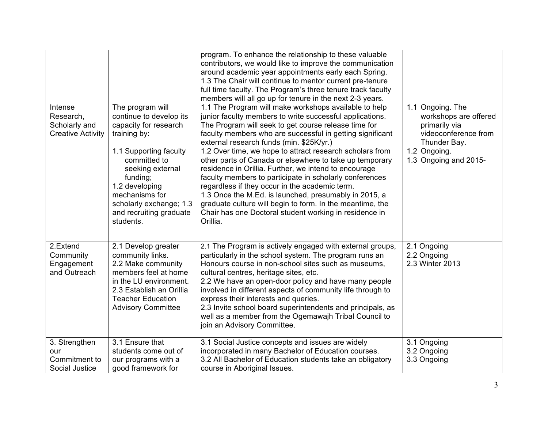| Intense<br>Research,<br>Scholarly and<br><b>Creative Activity</b> | The program will<br>continue to develop its<br>capacity for research<br>training by:<br>1.1 Supporting faculty<br>committed to<br>seeking external<br>funding;<br>1.2 developing<br>mechanisms for<br>scholarly exchange; 1.3<br>and recruiting graduate<br>students. | program. To enhance the relationship to these valuable<br>contributors, we would like to improve the communication<br>around academic year appointments early each Spring.<br>1.3 The Chair will continue to mentor current pre-tenure<br>full time faculty. The Program's three tenure track faculty<br>members will all go up for tenure in the next 2-3 years.<br>1.1 The Program will make workshops available to help<br>junior faculty members to write successful applications.<br>The Program will seek to get course release time for<br>faculty members who are successful in getting significant<br>external research funds (min. \$25K/yr.)<br>1.2 Over time, we hope to attract research scholars from<br>other parts of Canada or elsewhere to take up temporary<br>residence in Orillia. Further, we intend to encourage<br>faculty members to participate in scholarly conferences<br>regardless if they occur in the academic term.<br>1.3 Once the M.Ed. is launched, presumably in 2015, a<br>graduate culture will begin to form. In the meantime, the<br>Chair has one Doctoral student working in residence in<br>Orillia. | 1.1 Ongoing. The<br>workshops are offered<br>primarily via<br>videoconference from<br>Thunder Bay.<br>1.2 Ongoing.<br>1.3 Ongoing and 2015- |
|-------------------------------------------------------------------|-----------------------------------------------------------------------------------------------------------------------------------------------------------------------------------------------------------------------------------------------------------------------|--------------------------------------------------------------------------------------------------------------------------------------------------------------------------------------------------------------------------------------------------------------------------------------------------------------------------------------------------------------------------------------------------------------------------------------------------------------------------------------------------------------------------------------------------------------------------------------------------------------------------------------------------------------------------------------------------------------------------------------------------------------------------------------------------------------------------------------------------------------------------------------------------------------------------------------------------------------------------------------------------------------------------------------------------------------------------------------------------------------------------------------------------|---------------------------------------------------------------------------------------------------------------------------------------------|
| 2.Extend<br>Community<br>Engagement<br>and Outreach               | 2.1 Develop greater<br>community links.<br>2.2 Make community<br>members feel at home<br>in the LU environment.<br>2.3 Establish an Orillia<br><b>Teacher Education</b><br><b>Advisory Committee</b>                                                                  | 2.1 The Program is actively engaged with external groups,<br>particularly in the school system. The program runs an<br>Honours course in non-school sites such as museums,<br>cultural centres, heritage sites, etc.<br>2.2 We have an open-door policy and have many people<br>involved in different aspects of community life through to<br>express their interests and queries.<br>2.3 Invite school board superintendents and principals, as<br>well as a member from the Ogemawajh Tribal Council to<br>join an Advisory Committee.                                                                                                                                                                                                                                                                                                                                                                                                                                                                                                                                                                                                         | 2.1 Ongoing<br>2.2 Ongoing<br>2.3 Winter 2013                                                                                               |
| 3. Strengthen<br>our<br>Commitment to<br>Social Justice           | 3.1 Ensure that<br>students come out of<br>our programs with a<br>good framework for                                                                                                                                                                                  | 3.1 Social Justice concepts and issues are widely<br>incorporated in many Bachelor of Education courses.<br>3.2 All Bachelor of Education students take an obligatory<br>course in Aboriginal Issues.                                                                                                                                                                                                                                                                                                                                                                                                                                                                                                                                                                                                                                                                                                                                                                                                                                                                                                                                            | 3.1 Ongoing<br>3.2 Ongoing<br>3.3 Ongoing                                                                                                   |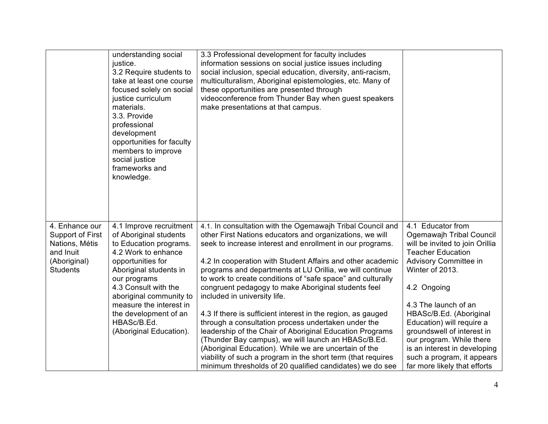|                                                                                                      | understanding social<br>justice.<br>3.2 Require students to<br>take at least one course<br>focused solely on social<br>justice curriculum<br>materials.<br>3.3. Provide<br>professional<br>development<br>opportunities for faculty<br>members to improve<br>social justice<br>frameworks and<br>knowledge.        | 3.3 Professional development for faculty includes<br>information sessions on social justice issues including<br>social inclusion, special education, diversity, anti-racism,<br>multiculturalism, Aboriginal epistemologies, etc. Many of<br>these opportunities are presented through<br>videoconference from Thunder Bay when guest speakers<br>make presentations at that campus.                                                                                                                                                                                                                                                                                                                                                                                                                                                                                                               |                                                                                                                                                                                                                                                                                                                                                                                                                 |
|------------------------------------------------------------------------------------------------------|--------------------------------------------------------------------------------------------------------------------------------------------------------------------------------------------------------------------------------------------------------------------------------------------------------------------|----------------------------------------------------------------------------------------------------------------------------------------------------------------------------------------------------------------------------------------------------------------------------------------------------------------------------------------------------------------------------------------------------------------------------------------------------------------------------------------------------------------------------------------------------------------------------------------------------------------------------------------------------------------------------------------------------------------------------------------------------------------------------------------------------------------------------------------------------------------------------------------------------|-----------------------------------------------------------------------------------------------------------------------------------------------------------------------------------------------------------------------------------------------------------------------------------------------------------------------------------------------------------------------------------------------------------------|
| 4. Enhance our<br>Support of First<br>Nations, Métis<br>and Inuit<br>(Aboriginal)<br><b>Students</b> | 4.1 Improve recruitment<br>of Aboriginal students<br>to Education programs.<br>4.2 Work to enhance<br>opportunities for<br>Aboriginal students in<br>our programs<br>4.3 Consult with the<br>aboriginal community to<br>measure the interest in<br>the development of an<br>HBASc/B.Ed.<br>(Aboriginal Education). | 4.1. In consultation with the Ogemawajh Tribal Council and<br>other First Nations educators and organizations, we will<br>seek to increase interest and enrollment in our programs.<br>4.2 In cooperation with Student Affairs and other academic<br>programs and departments at LU Orillia, we will continue<br>to work to create conditions of "safe space" and culturally<br>congruent pedagogy to make Aboriginal students feel<br>included in university life.<br>4.3 If there is sufficient interest in the region, as gauged<br>through a consultation process undertaken under the<br>leadership of the Chair of Aboriginal Education Programs<br>(Thunder Bay campus), we will launch an HBASc/B.Ed.<br>(Aboriginal Education). While we are uncertain of the<br>viability of such a program in the short term (that requires<br>minimum thresholds of 20 qualified candidates) we do see | 4.1 Educator from<br>Ogemawajh Tribal Council<br>will be invited to join Orillia<br><b>Teacher Education</b><br>Advisory Committee in<br>Winter of 2013.<br>4.2 Ongoing<br>4.3 The launch of an<br>HBASc/B.Ed. (Aboriginal<br>Education) will require a<br>groundswell of interest in<br>our program. While there<br>is an interest in developing<br>such a program, it appears<br>far more likely that efforts |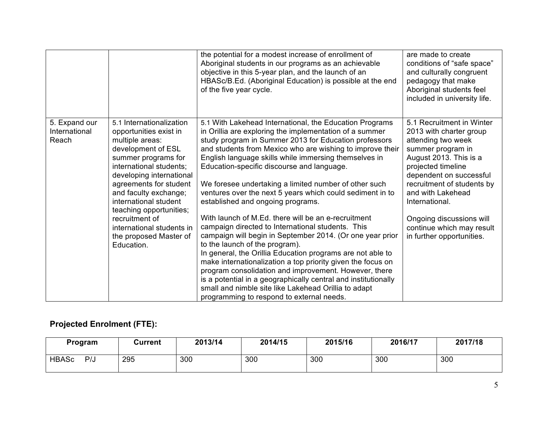|                                         |                                                                                                                                                                                                                                                                                                                                                                         | the potential for a modest increase of enrollment of<br>Aboriginal students in our programs as an achievable<br>objective in this 5-year plan, and the launch of an<br>HBASc/B.Ed. (Aboriginal Education) is possible at the end<br>of the five year cycle.                                                                                                                                                                                                                                                                                                                                                                                                                                                                                                                                                                                                                                                                                                                                                                                                                        | are made to create<br>conditions of "safe space"<br>and culturally congruent<br>pedagogy that make<br>Aboriginal students feel<br>included in university life.                                                                                                                                                                        |
|-----------------------------------------|-------------------------------------------------------------------------------------------------------------------------------------------------------------------------------------------------------------------------------------------------------------------------------------------------------------------------------------------------------------------------|------------------------------------------------------------------------------------------------------------------------------------------------------------------------------------------------------------------------------------------------------------------------------------------------------------------------------------------------------------------------------------------------------------------------------------------------------------------------------------------------------------------------------------------------------------------------------------------------------------------------------------------------------------------------------------------------------------------------------------------------------------------------------------------------------------------------------------------------------------------------------------------------------------------------------------------------------------------------------------------------------------------------------------------------------------------------------------|---------------------------------------------------------------------------------------------------------------------------------------------------------------------------------------------------------------------------------------------------------------------------------------------------------------------------------------|
| 5. Expand our<br>International<br>Reach | 5.1 Internationalization<br>opportunities exist in<br>multiple areas:<br>development of ESL<br>summer programs for<br>international students;<br>developing international<br>agreements for student<br>and faculty exchange;<br>international student<br>teaching opportunities;<br>recruitment of<br>international students in<br>the proposed Master of<br>Education. | 5.1 With Lakehead International, the Education Programs<br>in Orillia are exploring the implementation of a summer<br>study program in Summer 2013 for Education professors<br>and students from Mexico who are wishing to improve their<br>English language skills while immersing themselves in<br>Education-specific discourse and language.<br>We foresee undertaking a limited number of other such<br>ventures over the next 5 years which could sediment in to<br>established and ongoing programs.<br>With launch of M.Ed. there will be an e-recruitment<br>campaign directed to International students. This<br>campaign will begin in September 2014. (Or one year prior<br>to the launch of the program).<br>In general, the Orillia Education programs are not able to<br>make internationalization a top priority given the focus on<br>program consolidation and improvement. However, there<br>is a potential in a geographically central and institutionally<br>small and nimble site like Lakehead Orillia to adapt<br>programming to respond to external needs. | 5.1 Recruitment in Winter<br>2013 with charter group<br>attending two week<br>summer program in<br>August 2013. This is a<br>projected timeline<br>dependent on successful<br>recruitment of students by<br>and with Lakehead<br>International.<br>Ongoing discussions will<br>continue which may result<br>in further opportunities. |

## **Projected Enrolment (FTE):**

| Program             | Current | 2013/14 | 2014/15 | 2015/16 | 2016/17 | 2017/18 |
|---------------------|---------|---------|---------|---------|---------|---------|
| <b>HBASc</b><br>P/J | 295     | 300     | 300     | 300     | 300     | 300     |